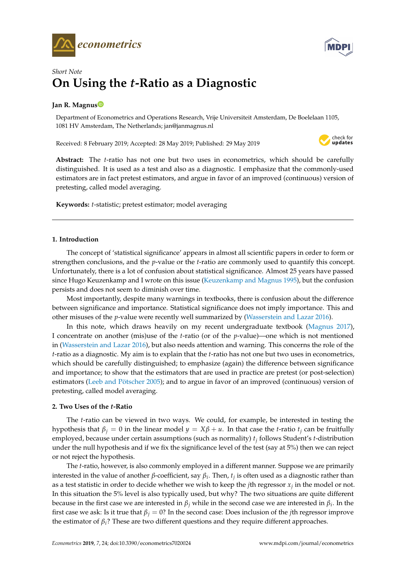



# *Short Note* **On Using the** *t***-Ratio as a Diagnostic**

## **Jan R. Magnu[s](https://orcid.org/0000-0002-3390-639X)**

Department of Econometrics and Operations Research, Vrije Universiteit Amsterdam, De Boelelaan 1105, 1081 HV Amsterdam, The Netherlands; jan@janmagnus.nl

Received: 8 February 2019; Accepted: 28 May 2019; Published: 29 May 2019



**Abstract:** The *t*-ratio has not one but two uses in econometrics, which should be carefully distinguished. It is used as a test and also as a diagnostic. I emphasize that the commonly-used estimators are in fact pretest estimators, and argue in favor of an improved (continuous) version of pretesting, called model averaging.

**Keywords:** *t*-statistic; pretest estimator; model averaging

## **1. Introduction**

The concept of 'statistical significance' appears in almost all scientific papers in order to form or strengthen conclusions, and the *p*-value or the *t*-ratio are commonly used to quantify this concept. Unfortunately, there is a lot of confusion about statistical significance. Almost 25 years have passed since Hugo Keuzenkamp and I wrote on this issue [\(Keuzenkamp and Magnus](#page-2-0) [1995\)](#page-2-0), but the confusion persists and does not seem to diminish over time.

Most importantly, despite many warnings in textbooks, there is confusion about the difference between significance and importance. Statistical significance does not imply importance. This and other misuses of the *p*-value were recently well summarized by [\(Wasserstein and Lazar](#page-2-1) [2016\)](#page-2-1).

In this note, which draws heavily on my recent undergraduate textbook [\(Magnus](#page-2-2) [2017\)](#page-2-2), I concentrate on another (mis)use of the *t*-ratio (or of the *p*-value)—one which is not mentioned in [\(Wasserstein and Lazar](#page-2-1) [2016\)](#page-2-1), but also needs attention and warning. This concerns the role of the *t*-ratio as a diagnostic. My aim is to explain that the *t*-ratio has not one but two uses in econometrics, which should be carefully distinguished; to emphasize (again) the difference between significance and importance; to show that the estimators that are used in practice are pretest (or post-selection) estimators [\(Leeb and Pötscher](#page-2-3) [2005\)](#page-2-3); and to argue in favor of an improved (continuous) version of pretesting, called model averaging.

## **2. Two Uses of the** *t***-Ratio**

The *t*-ratio can be viewed in two ways. We could, for example, be interested in testing the hypothesis that  $\beta_j = 0$  in the linear model  $y = X\beta + u$ . In that case the *t*-ratio  $t_j$  can be fruitfully employed, because under certain assumptions (such as normality) *t<sup>j</sup>* follows Student's *t*-distribution under the null hypothesis and if we fix the significance level of the test (say at 5%) then we can reject or not reject the hypothesis.

The *t*-ratio, however, is also commonly employed in a different manner. Suppose we are primarily interested in the value of another *β*-coefficient, say *β<sup>i</sup>* . Then, *t<sup>j</sup>* is often used as a diagnostic rather than as a test statistic in order to decide whether we wish to keep the *j*th regressor *x<sup>j</sup>* in the model or not. In this situation the 5% level is also typically used, but why? The two situations are quite different because in the first case we are interested in *β<sup>j</sup>* while in the second case we are interested in *β<sup>i</sup>* . In the first case we ask: Is it true that  $\beta_j = 0$ ? In the second case: Does inclusion of the *j*th regressor improve the estimator of  $\beta_i$ ? These are two different questions and they require different approaches.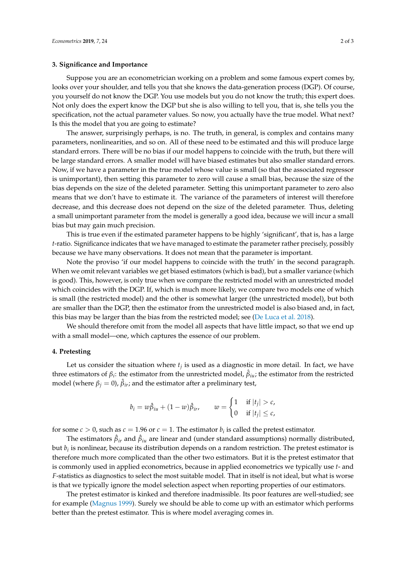#### **3. Significance and Importance**

Suppose you are an econometrician working on a problem and some famous expert comes by, looks over your shoulder, and tells you that she knows the data-generation process (DGP). Of course, you yourself do not know the DGP. You use models but you do not know the truth; this expert does. Not only does the expert know the DGP but she is also willing to tell you, that is, she tells you the specification, not the actual parameter values. So now, you actually have the true model. What next? Is this the model that you are going to estimate?

The answer, surprisingly perhaps, is no. The truth, in general, is complex and contains many parameters, nonlinearities, and so on. All of these need to be estimated and this will produce large standard errors. There will be no bias if our model happens to coincide with the truth, but there will be large standard errors. A smaller model will have biased estimates but also smaller standard errors. Now, if we have a parameter in the true model whose value is small (so that the associated regressor is unimportant), then setting this parameter to zero will cause a small bias, because the size of the bias depends on the size of the deleted parameter. Setting this unimportant parameter to zero also means that we don't have to estimate it. The variance of the parameters of interest will therefore decrease, and this decrease does not depend on the size of the deleted parameter. Thus, deleting a small unimportant parameter from the model is generally a good idea, because we will incur a small bias but may gain much precision.

This is true even if the estimated parameter happens to be highly 'significant', that is, has a large *t*-ratio. Significance indicates that we have managed to estimate the parameter rather precisely, possibly because we have many observations. It does not mean that the parameter is important.

Note the proviso 'if our model happens to coincide with the truth' in the second paragraph. When we omit relevant variables we get biased estimators (which is bad), but a smaller variance (which is good). This, however, is only true when we compare the restricted model with an unrestricted model which coincides with the DGP. If, which is much more likely, we compare two models one of which is small (the restricted model) and the other is somewhat larger (the unrestricted model), but both are smaller than the DGP, then the estimator from the unrestricted model is also biased and, in fact, this bias may be larger than the bias from the restricted model; see [\(De Luca et al.](#page-2-4) [2018\)](#page-2-4).

We should therefore omit from the model all aspects that have little impact, so that we end up with a small model—one, which captures the essence of our problem.

#### **4. Pretesting**

Let us consider the situation where *t<sup>j</sup>* is used as a diagnostic in more detail. In fact, we have three estimators of  $\beta_i$ : the estimator from the unrestricted model,  $\hat{\beta}_{iui}$ ; the estimator from the restricted model (where  $β<sub>j</sub> = 0$ ),  $β<sub>ir</sub>$ ; and the estimator after a preliminary test,

$$
b_i = w\hat{\beta}_{iu} + (1-w)\hat{\beta}_{ir}, \qquad w = \begin{cases} 1 & \text{if } |t_j| > c, \\ 0 & \text{if } |t_j| \leq c, \end{cases}
$$

for some  $c > 0$ , such as  $c = 1.96$  or  $c = 1$ . The estimator  $b_i$  is called the pretest estimator.

The estimators  $\hat{\beta}_{ir}$  and  $\hat{\beta}_{iu}$  are linear and (under standard assumptions) normally distributed, but *b<sup>i</sup>* is nonlinear, because its distribution depends on a random restriction. The pretest estimator is therefore much more complicated than the other two estimators. But it is the pretest estimator that is commonly used in applied econometrics, because in applied econometrics we typically use *t*- and *F*-statistics as diagnostics to select the most suitable model. That in itself is not ideal, but what is worse is that we typically ignore the model selection aspect when reporting properties of our estimators.

The pretest estimator is kinked and therefore inadmissible. Its poor features are well-studied; see for example [\(Magnus](#page-2-5) [1999\)](#page-2-5). Surely we should be able to come up with an estimator which performs better than the pretest estimator. This is where model averaging comes in.